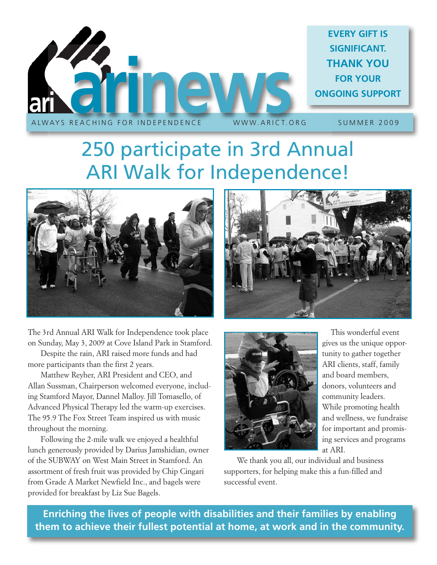

# 250 participate in 3rd Annual ARI Walk for Independence!



The 3rd Annual ARI Walk for Independence took place on Sunday, May 3, 2009 at Cove Island Park in Stamford.

Despite the rain, ARI raised more funds and had more participants than the first 2 years.

Matthew Reyher, ARI President and CEO, and Allan Sussman, Chairperson welcomed everyone, including Stamford Mayor, Dannel Malloy. Jill Tomasello, of Advanced Physical Therapy led the warm-up exercises. The 95.9 The Fox Street Team inspired us with music throughout the morning.

Following the 2-mile walk we enjoyed a healthful lunch generously provided by Darius Jamshidian, owner of the SUBWAY on West Main Street in Stamford. An assortment of fresh fruit was provided by Chip Cingari from Grade A Market Newfield Inc., and bagels were provided for breakfast by Liz Sue Bagels.





This wonderful event gives us the unique opportunity to gather together ARI clients, staff, family and board members, donors, volunteers and community leaders. While promoting health and wellness, we fundraise for important and promising services and programs at ARI.

We thank you all, our individual and business supporters, for helping make this a fun-filled and successful event.

**Enriching the lives of people with disabilities and their families by enabling them to achieve their fullest potential at home, at work and in the community.**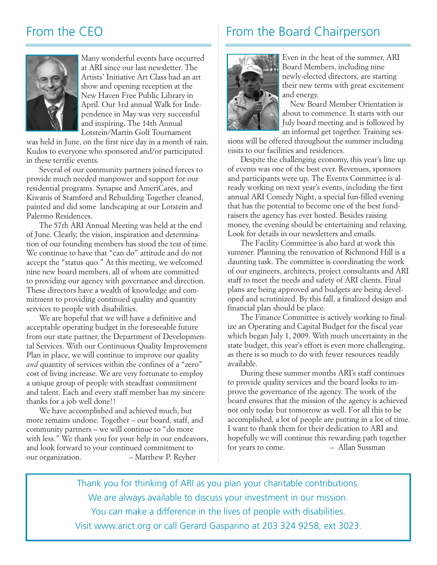

Many wonderful events have occurred at ARI since our last newsletter. The Artists' Initiative Art Class had an art show and opening reception at the New Haven Free Public Library in April. Our 3rd annual Walk for Independence in May was very successful and inspiring. The 14th Annual Lotstein/Martin Golf Tournament

was held in June, on the first nice day in a month of rain. Kudos to everyone who sponsored and/or participated in these terrific events.

Several of our community partners joined forces to provide much needed manpower and support for our residential programs. Synapse and AmeriCares, and Kiwanis of Stamford and Rebuilding Together cleaned, painted and did some landscaping at our Lotstein and Palermo Residences.

The 57th ARI Annual Meeting was held at the end of June. Clearly, the vision, inspiration and determination of our founding members has stood the test of time. We continue to have that "can do" attitude and do not accept the "status quo." At this meeting, we welcomed nine new board members, all of whom are committed to providing our agency with governance and direction. These directors have a wealth of knowledge and commitment to providing continued quality and quantity services to people with disabilities.

We are hopeful that we will have a definitive and acceptable operating budget in the foreseeable future from our state partner, the Department of Developmental Services. With our Continuous Quality Improvement Plan in place, we will continue to improve our quality *and* quantity of services within the confines of a "zero" cost of living increase. We are very fortunate to employ a unique group of people with steadfast commitment and talent. Each and every staff member has my sincere thanks for a job well done!!

We have accomplished and achieved much, but more remains undone. Together – our board, staff, and community partners – we will continue to "do more with less." We thank you for your help in our endeavors, and look forward to your continued commitment to our organization. – Matthew P. Reyher

#### From the CEO From the Board Chairperson



Even in the heat of the summer, ARI Board Members, including nine newly-elected directors, are starting their new terms with great excitement and energy.

New Board Member Orientation is about to commence. It starts with our July board meeting and is followed by an informal get together. Training ses-

sions will be offered throughout the summer including visits to our facilities and residences.

Despite the challenging economy, this year's line up of events was one of the best ever. Revenues, sponsors and participants were up. The Events Committee is already working on next year's events, including the first annual ARI Comedy Night, a special fun-filled evening that has the potential to become one of the best fundraisers the agency has ever hosted. Besides raising money, the evening should be entertaining and relaxing. Look for details in our newsletters and emails.

The Facility Committee is also hard at work this summer. Planning the renovation of Richmond Hill is a daunting task. The committee is coordinating the work of our engineers, architects, project consultants and ARI staff to meet the needs and safety of ARI clients. Final plans are being approved and budgets are being developed and scrutinized. By this fall, a finalized design and financial plan should be place.

The Finance Committee is actively working to finalize an Operating and Capital Budget for the fiscal year which began July 1, 2009. With much uncertainty in the state budget, this year's effort is even more challenging, as there is so much to do with fewer resources readily available.

During these summer months ARI's staff continues to provide quality services and the board looks to improve the governance of the agency. The work of the board ensures that the mission of the agency is achieved not only today but tomorrow as well. For all this to be accomplished, a lot of people are putting in a lot of time. I want to thank them for their dedication to ARI and hopefully we will continue this rewarding path together for years to come. – Allan Sussman

Thank you for thinking of ARI as you plan your charitable contributions. We are always available to discuss your investment in our mission. You *can* make a difference in the lives of people with disabilities. Visit www.arict.org or call Gerard Gasparino at 203 324 9258, ext 3023.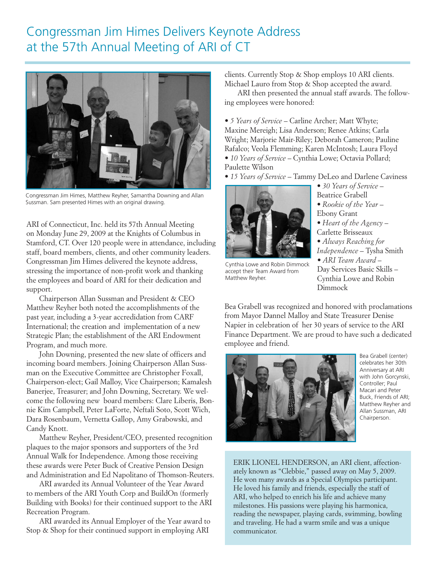#### Congressman Jim Himes Delivers Keynote Address at the 57th Annual Meeting of ARI of CT



Congressman Jim Himes, Matthew Reyher, Samantha Downing and Allan Sussman. Sam presented Himes with an original drawing.

ARI of Connecticut, Inc. held its 57th Annual Meeting on Monday June 29, 2009 at the Knights of Columbus in Stamford, CT. Over 120 people were in attendance, including staff, board members, clients, and other community leaders. Congressman Jim Himes delivered the keynote address, stressing the importance of non-profit work and thanking the employees and board of ARI for their dedication and support.

Chairperson Allan Sussman and President & CEO Matthew Reyher both noted the accomplishments of the past year, including a 3-year accredidation from CARF International; the creation and implementation of a new Strategic Plan; the establishment of the ARI Endowment Program, and much more.

John Downing, presented the new slate of officers and incoming board members. Joining Chairperson Allan Sussman on the Executive Committee are Christopher Foxall, Chairperson-elect; Gail Malloy, Vice Chairperson; Kamalesh Banerjee, Treasurer; and John Downing, Secretary. We welcome the following new board members: Clare Liberis, Bonnie Kim Campbell, Peter LaForte, Neftali Soto, Scott Wich, Dara Rosenbaum, Vernetta Gallop, Amy Grabowski, and Candy Knott.

Matthew Reyher, President/CEO, presented recognition plaques to the major sponsors and supporters of the 3rd Annual Walk for Independence. Among those receiving these awards were Peter Buck of Creative Pension Design and Administration and Ed Napolitano of Thomson-Reuters.

ARI awarded its Annual Volunteer of the Year Award to members of the ARI Youth Corp and BuildOn (formerly Building with Books) for their continued support to the ARI Recreation Program.

ARI awarded its Annual Employer of the Year award to Stop & Shop for their continued support in employing ARI

clients. Currently Stop & Shop employs 10 ARI clients. Michael Lauro from Stop & Shop accepted the award.

ARI then presented the annual staff awards. The following employees were honored:

*• 5 Years of Service* – Carline Archer; Matt Whyte; Maxine Mereigh; Lisa Anderson; Renee Atkins; Carla Wright; Marjorie Mair-Riley; Deborah Cameron; Pauline Rafalco; Veola Flemming; Karen McIntosh; Laura Floyd *• 10 Years of Service* – Cynthia Lowe; Octavia Pollard; Paulette Wilson

*• 15 Years of Service* – Tammy DeLeo and Darlene Caviness



Cynthia Lowe and Robin Dimmock accept their Team Award from Matthew Reyher.

*• 30 Years of Service* – Beatrice Grabell

- *• Rookie of the Year* Ebony Grant
- *• Heart of the Agency* –
- Carlette Brisseaux
- *• Always Reaching for Independence* – Tysha Smith
- *• ARI Team Award* Day Services Basic Skills – Cynthia Lowe and Robin Dimmock

Bea Grabell was recognized and honored with proclamations from Mayor Dannel Malloy and State Treasurer Denise Napier in celebration of her 30 years of service to the ARI Finance Department. We are proud to have such a dedicated employee and friend.



Bea Grabell (center) celebrates her 30th Anniversary at ARI with John Gorcynski, Controller; Paul Macari and Peter Buck, Friends of ARI; Matthew Reyher and Allan Sussman, ARI Chairperson.

ERIK LIONEL HENDERSON, an ARI client, affectionately known as "Clebbie," passed away on May 5, 2009. He won many awards as a Special Olympics participant. He loved his family and friends, especially the staff of ARI, who helped to enrich his life and achieve many milestones. His passions were playing his harmonica, reading the newspaper, playing cards, swimming, bowling and traveling. He had a warm smile and was a unique communicator.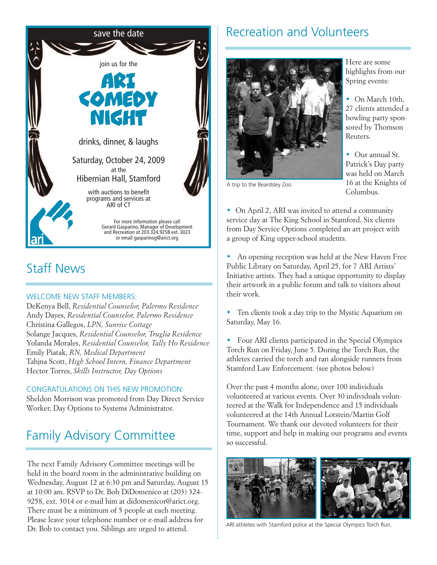

### Staff News

#### WELCOME NEW STAFF MEMBERS:

DeKenya Bell, *Residential Counselor, Palermo Residence* Andy Dayes, *Residential Counselor, Palermo Residence* Christina Gallegos, *LPN, Sunrise Cottage* Solange Jacques, *Residential Counselor, Truglia Residence* Yolanda Morales, *Residential Counselor, Tally Ho Residence* Emily Piatak, *RN, Medical Department* Tahjna Scott, *High School Intern, Finance Department* Hector Torres, *Skills Instructor, Day Options*

#### CONGRATULATIONS ON THIS NEW PROMOTION:

Sheldon Morrison was promoted from Day Direct Service Worker, Day Options to Systems Administrator.

### Family Advisory Committee

The next Family Advisory Committee meetings will be held in the board room in the administrative building on Wednesday, August 12 at 6:30 pm and Saturday, August 15 at 10:00 am. RSVP to Dr. Bob DiDomenico at (203) 324- 9258, ext. 3014 or e-mail him at didomenicor@arict.org. There must be a minimum of 5 people at each meeting. Please leave your telephone number or e-mail address for Dr. Bob to contact you. Siblings are urged to attend.

#### Recreation and Volunteers



A trip to the Beardsley Zoo.

Here are some highlights from our Spring events:

*•* On March 10th, 27 clients attended a bowling party sponsored by Thomson Reuters.

*•* Our annual St. Patrick's Day party was held on March 16 at the Knights of Columbus.

*•* On April 2, ARI was invited to attend a community service day at The King School in Stamford. Six clients from Day Service Options completed an art project with a group of King upper-school students.

*•* An opening reception was held at the New Haven Free Public Library on Saturday, April 25, for 7 ARI Artists' Initiative artists. They had a unique opportunity to display their artwork in a public forum and talk to visitors about their work.

*•* Ten clients took a day trip to the Mystic Aquarium on Saturday, May 16.

*•* Four ARI clients participated in the Special Olympics Torch Run on Friday, June 5. During the Torch Run, the athletes carried the torch and ran alongside runners from Stamford Law Enforcement. (see photos below)

Over the past 4 months alone, over 100 individuals volunteered at various events. Over 30 individuals volunteered at the Walk for Independence and 15 individuals volunteered at the 14th Annual Lotstein/Martin Golf Tournament. We thank our devoted volunteers for their time, support and help in making our programs and events so successful.



ARI athletes with Stamford police at the Special Olympics Torch Run.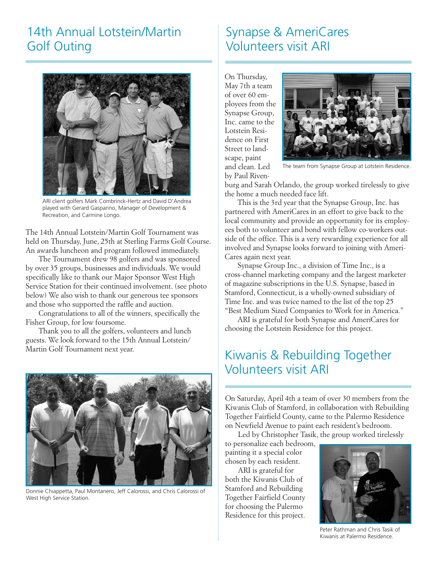#### 14th Annual Lotstein/Martin Golf Outing



ARI client golfers Mark Combrinck-Hertz and David D'Andrea played with Gerard Gasparino, Manager of Development & Recreation, and Carmine Longo.

The 14th Annual Lotstein/Martin Golf Tournament was held on Thursday, June, 25th at Sterling Farms Golf Course. An awards luncheon and program followed immediately.

The Tournament drew 98 golfers and was sponsored by over 35 groups, businesses and individuals. We would specifically like to thank our Major Sponsor West High Service Station for their continued involvement. (see photo below) We also wish to thank our generous tee sponsors and those who supported the raffle and auction.

Congratulations to all of the winners, specifically the Fisher Group, for low foursome.

Thank you to all the golfers, volunteers and lunch guests. We look forward to the 15th Annual Lotstein/ Martin Golf Tournament next year.



Donnie Chiappetta, Paul Montanero, Jeff Calorossi, and Chris Calorossi of West High Service Station.

### Synapse & AmeriCares Volunteers visit ARI

On Thursday, May 7th a team of over 60 employees from the Synapse Group, Inc. came to the Lotstein Residence on First Street to landscape, paint and clean. Led by Paul Riven-



The team from Synapse Group at Lotstein Residence.

burg and Sarah Orlando, the group worked tirelessly to give the home a much needed face lift.

This is the 3rd year that the Synapse Group, Inc. has partnered with AmeriCares in an effort to give back to the local community and provide an opportunity for its employees both to volunteer and bond with fellow co-workers outside of the office. This is a very rewarding experience for all involved and Synapse looks forward to joining with Ameri-Cares again next year.

Synapse Group Inc., a division of Time Inc., is a cross-channel marketing company and the largest marketer of magazine subscriptions in the U.S. Synapse, based in Stamford, Connecticut, is a wholly-owned subsidiary of Time Inc. and was twice named to the list of the top 25 "Best Medium Sized Companies to Work for in America."

ARI is grateful for both Synapse and AmeriCares for choosing the Lotstein Residence for this project.

#### Kiwanis & Rebuilding Together Volunteers visit ARI

On Saturday, April 4th a team of over 30 members from the Kiwanis Club of Stamford, in collaboration with Rebuilding Together Fairfield County, came to the Palermo Residence on Newfield Avenue to paint each resident's bedroom.

Led by Christopher Tasik, the group worked tirelessly

to personalize each bedroom, painting it a special color chosen by each resident.

ARI is grateful for both the Kiwanis Club of Stamford and Rebuilding Together Fairfield County for choosing the Palermo Residence for this project.



Peter Rathman and Chris Tasik of Kiwanis at Palermo Residence.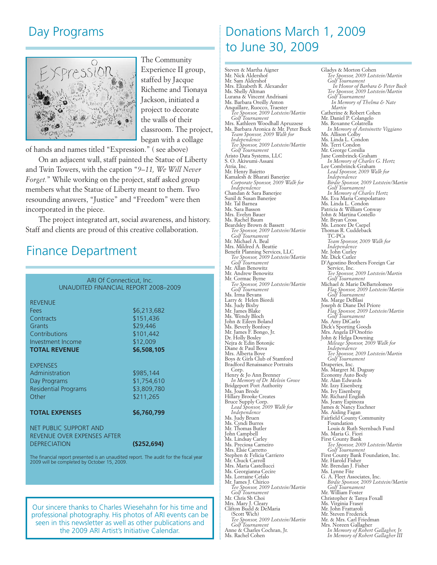#### Day Programs



The Community Experience II group, staffed by Jacque Richeme and Tionaya Jackson, initiated a project to decorate the walls of their classroom. The project, began with a collage

of hands and names titled "Expression." ( see above)

On an adjacent wall, staff painted the Statue of Liberty and Twin Towers, with the caption "*9–11, We Will Never Forget.*" While working on the project, staff asked group members what the Statue of Liberty meant to them. Two resounding answers, "Justice" and "Freedom" were then incorporated in the piece.

The project integrated art, social awareness, and history. Staff and clients are proud of this creative collaboration.

#### Finance Department

| ARI Of Connecticut, Inc.<br>UNAUDITED FINANCIAL REPORT 2008-2009                                            |                                                                              |
|-------------------------------------------------------------------------------------------------------------|------------------------------------------------------------------------------|
| <b>REVENUE</b><br>Fees<br>Contracts<br>Grants<br>Contributions<br>Investment Income<br><b>TOTAL REVENUE</b> | \$6,213,682<br>\$151,436<br>\$29,446<br>\$101,442<br>\$12,009<br>\$6,508,105 |
| <b>EXPENSES</b><br>Administration<br>Day Programs<br><b>Residential Programs</b><br>Other                   | \$985,144<br>\$1,754,610<br>\$3,809,780<br>\$211,265                         |
| <b>TOTAL EXPENSES</b>                                                                                       | \$6,760,799                                                                  |
| <b>NET PUBLIC SUPPORT AND</b><br>REVENUE OVER EXPENSES AFTER<br><b>DEPRECIATION</b>                         | $($ \$252,694 $)$                                                            |
| The financial report presented is an unaudited report. The audit for the fiscal year                        |                                                                              |

2009 will be completed by October 15, 2009.

Our sincere thanks to Charles Wiesehahn for his time and professional photography. His photos of ARI events can be seen in this newsletter as well as other publications and the 2009 ARI Artist's Initiative Calendar.

### Donations March 1, 2009 to June 30, 2009

Gladys & Morton Cohen

Steven & Martha Aigner Mr. Nick Aldershof Mr. Sam Aldershof Mrs. Elizabeth R. Alexander Ms. Shelly Altman Lurana & Vincent Andrisani Ms. Barbara Oreilly Anton Anquillare, Ruocco, Traester *Tee Sponsor, 2009 Lotstein/Martin Golf Tournament* Mrs. Kathleen Woodhall Apruzzese Ms. Barbara Aronica & Mr. Peter Buck *Team Sponsor, 2009 Walk for Independence Tee Sponsor, 2009 Lotstein/Martin Golf Tournament* Aristo Data Systems, LLC S. O. Akiwumi-Assani Atria, Inc. Mr. Henry Baietto Kamalesh & Bharati Banerjee *Corporate Sponsor, 2009 Walk for Independence* Chandan & Sara Banerjee Sunil & Susan Banerjee Mr. Tal Barnea Ms. Sara Basson Mrs. Evelyn Bauer Ms. Rachel Baum<br>Beardsley Brown & Bassett Beardsley Brown & Bassett *Tee Sponsor, <sup>2009</sup> Lotstein/Martin Golf Tournament* Mr. Michael A. Beal<br>Mrs. Mildred A. Beattie Mrs. March Arthur Denite<br>
Benefit Planning Services, LLC<br> *Tee Sponsor, 2009 Lotstein/Martin*<br> *Golf Tournament* Mr. Allan Benowitz<br>Mr. Andrew Benowitz<br>Mr. Cormac Byrne<br>Tee Sponsor, 2009 Lotstein/Martin<br>Oolf Tournament<br>Ms. Irma Bevans<br>Larry & Helen Biordi Ms. Judy Bixby<br>Ms. Judy Bixby<br>Mr. James Blake Ms. Wendy Bloch John & Eileen Boland Ms. Beverly Bonfoey Mr. James F. Bongo, Jr. Dr. Holly Bosley Nejra & Edin Botonjic<br>Diane & Paul Bova<br>Mrs. Alberta Bove<br>Boys & Girls Club of Stamford Bradford Renaissance Portraits Corp. Henry & Jo Ann Brenner *In Memory of Dr. Melvin Grove* Bridgeport Port Authority Ms. Joan Brode Hillary Brooke Creates Bruce Supply Corp. *Lead Sponsor, 2009 Walk for Independence* Ms. Judy Bruen Ms. Cyndi Burres Mr. Thomas Butler John Campbell Ms. Lindsay Carley<br>Ms. Preciosa Carneiro Mrs. Elsie Carretto<br>Stephen & Felicia Carriero Mr. Chuck Carroll<br>Mrs. Maria Castellucci<br>Ms. Georgianna Cecire Ms. Lorraine Cefalo<br>Mr. James J. Chirico<br>*Tee Sponsor, 2009 Lotstein/Martin*<br>*Golf Tournament* Mrs. Mary J. Cleary Clifton Budd & DeMaria (Scott Wich) *Tee Sponsor, <sup>2009</sup> Lotstein/Martin Golf Tournament* Anne & Charles Cochran, Jr. Ms. Rachel Cohen

*Tee Sponsor, 2009 Lotstein/Martin Golf Tournament In Honor of Barbara & Peter Buck Tee Sponsor, 2009 Lotstein/Martin Golf Tournament In Memory of Thelma & Nate Martin* Catherine & Robert Cohen Mr. Daniel P. Colangelo Ms. Roxanne Colatrella *In Memory of Antoinette Viggiano* Ms. Allison Colby Ms. Linda L. Condon Ms. Terri Condon Mr. George Corsilia Jane Combrinck-Graham *In Memory of Charles G. Hertz* Lee Combrinck-Graham *Lead Sponsor, 2009 Walk for Independence Birdie Sponsor, 2009 Lotstein/Martin Golf Tournament In Memory of Charles Hertz* Ms. Eva Maria Compolattaro Ms. Linda L. Condon Patricia & William Conway John & Martina Costello Mr. Bryan Cross Ms. Lenore De Csepel Thomas R. Cuddeback TC-PCs<br> *TC-PCs<br>
Team Sponsor, 2009 Walk for*<br> *Mr. John Curley*<br>
Mr. Dick Curler D'Agostino Brothers Foreign Car<br>Service, Inc.<br>*Tee Sponsor, 2009 Lotstein/Martin<br>Golf Tournament*<br>Michael & Marie DeBartolomeo<br>*Flag Sponsor, 2009 Lotstein/Martin*<br>Golf Tournament<br>Mss. Marge DeBlasi<br>Joseph & Diane Del Prio Joseph & Diane Del Priore *Flag Sponsor, <sup>2009</sup> Lotstein/Martin Golf Tournament* Ms. Amy DiCarlo Dick's Sporting Goods Mrs. Angela D'Onofrio John & Helga Downing *Mileage Sponsor, <sup>2009</sup> Walk for Independence Tee Sponsor, <sup>2009</sup> Lotstein/Martin Golf Tournament* Draperies, Inc. Ms. Margret M. Duguay Economy Auto Body Mr. Alan Edwards Mr. Izzy Eisenberg Ms. Ivy Eisenberg Mr. Richard English Ms. Jeany Espinoza James & Nancy Euchner Ms. Aisling Fagan Fairfield County Community Foundation Louis & Ruth Sternbach Fund Ms. Maria G. Fiori First County Bank *Tee Sponsor, 2009 Lotstein/Martin Golf Tournament* First County Bank Foundation, Inc. Mr. Harold Fisher Mr. Brendan J. Fisher Ms. Lynne Fite G. A. Fleet Associates, Inc. *Birdie Sponsor, 2009 Lotstein/Martin Golf Tournament* Mr. William Foster Christopher & Tanya Foxall Ms. Virginia Fraser Mr. John Frattaroli Mr. Steven Frederick<br>Mr. & Mrs. Carl Friedman Mr. & Mrs. Carl Friedman Mrs. Noreen Gallagher *In Memory of Robert Gallagher, Jr. In Memory of Robert Gallagher III*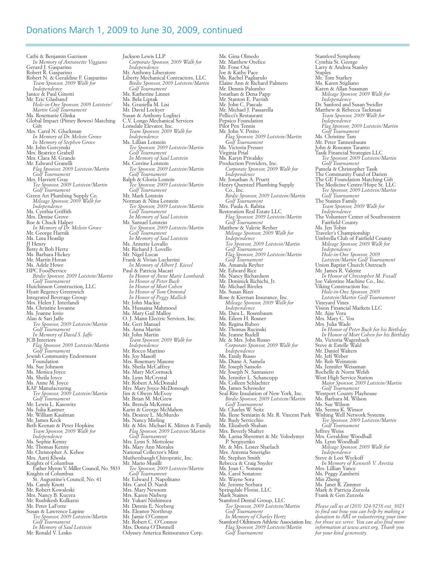#### Donations March 1, 2009 to June 30, 2009, continued

Cathi & Benjamin Garrison *In Memory of Antoinette Viggiano* Gerard J. Gasparino Robert R. Gasparino Robert N. & Geraldine F. Gasparino *Team Sponsor, 2009 Walk for Independence* Janice & Paul Ginotti Mr. Eric Glasband *Hole-in-One Sponsor, 2009 Lotstein/ Martin Golf Tournament* Ms. Rosemarie Glinka Global Impact (Pitney Bowes) Matching Gift Mrs. Carol N. Gluckman *In Memory of Dr. Melvin Grove In Memory of Stephen Grove* Mr. John Gorcynski Mrs. Beatrice Grabell Mrs. Clara M. Grande Mr. Edward Granelli *Flag Sponsor, 2009 Lotstein/Martin Golf Tournament* Mrs. Harriett Gray *Tee Sponsor, 2009 Lotstein/Martin Golf Tournament* Green Art Plumbing Supply Co. *Mileage Sponsor, 2009 Walk for Independence* Ms. Cynthia Griffith Mrs. Denise Grove Roe & Chuck Halper *In Memory of Dr. Melvin Grove* Mr. George Harnik Ms. Lina Heaslip JJ Henry Betty & Bob Hertz Ms. Barbara Hickey Mr. Martin Horan Ms. Adele Howe HPC FoodService *Birdie Sponsor, <sup>2009</sup> Lotstein/Martin Golf Tournament* Hutchinson Construction, LLC Hyatt Regency Greenwich Integrated Beverage Group Mrs. Helen J. Interlandi<br>Ms. Christine Iovanne Ms. Joanne Iorio<br>Alan & Sari Jaffe<br>Tee Sponsor, 2009 Lotstein/Martin<br>Golf Tournament<br>In Memory of David S. Jaffe<br>JCB Interiors<br>The Flag Sponsor, 2009 Lotstein/Martin<br>Golf Tournament<br>Jewish Community Endowment<br>Ns. Sue Johns Ms. Sheila Joyce Ms. Anne M. Joyce KAF Manufacturing<br>Tee Sponsor, 2009 Lotstein/Martin *Golf Tournament*<br>Mr. Lewis L. Kasowitz<br>Ms. Julia Kastner<br>Mr. William Kaufman<br>Mr. James Keck Beth Keenan & Peter Hopkins *Team Sponsor, 2009 Walk for Independence* Ms. Sophie Kenny Mr. Thomas Kenny Mr. Christopher A. Kehoe Mrs. Aarti Khosla Knights of Columbus Father Myron V. Miller Council, No. 5833 Knights of Columbus St. Augustine's Council, No. 41<br>Ms. Candy Knott Mr. Robert Kowaleski<br>Mrs. Nancy B. Kucera Mr. Rushikesh Kulkarni<br>Mr. Peter LaForte Mr. Peter LaForte Susan & Lawrence Lapine *Tee Sponsor, <sup>2009</sup> Lotstein/Martin Golf Tournament In Memory of Saul Lotstein* Mr. Ronald V. Lesko Odyssey America Reinsurance Corp.

Jackson Lewis LLP *Corporate Sponsor, 2009 Walk for Independence* Mr. Anthony Liberatore Liberty Mechanical Contractors, LLC *Birdie Sponsor, 2009 Lotstein/Martin Golf Tournament* Ms. Katherine Linnet Ms. Bela Liptak Ms. Graziella M. Lisi Mr. David Lockyer Susan & Anthony Loglisci C.V. Longo Mechanical Services Lonsdale Elevator, Inc. *Team Sponsor, 2009 Walk for Independence* Ms. Lillian Lotstein *Tee Sponsor, 2009 Lotstein/Martin Golf Tournament In Memory of Saul Lotstein* Ms. Corrine Lotstein *Tee Sponsor, 2009 Lotstein/Martin Golf Tournament* Ralph & Gloria Lostein *Tee Sponsor, 2009 Lotstein/Martin Golf Tournament* Mr. Mark Lotstein Norman & Nina Lotstein *Tee Sponsor, 2009 Lotstein/Martin Golf Tournament In Memory of Saul Lotstein* Tee Sponsor, 2009 Lotstein/Martin<br>Golf Tournament<br>In Memory of Saul Lotstein<br>Ms. Annette Lovallo<br>Mr. Richard J. Lovello<br>Mr. Nigel Lucas<br>Frank & Vivian Lucherini *In Memory of Albert J. Kiesel* Paul & Patricia Macari In Honor of Anne Marie Lombardi<br>In Honor of Peter Buck<br>In Honor of Mort Cohen<br>In Honor of Tom Ormond *In Honor of Peggy Mallick* Ms. Hussaina Mahmood Ms. Mary Gail Malloy O. J. Mann Electric Services, Inc. Ms. Geri Manuel Ms. Anna Martin Mr. John Martin *Team Sponsor, <sup>2009</sup> Walk for Independence* Mr. Rocco Martino Ms. Joy Masoff Mrs. Rosemary Masone Ms. Sheila McCaffrey Ms. Mary McCormack Ms. Lynn McCrystal Mr. Robert A.McDonald Mrs. Mary Joyce-McDonough Jim & Olwyn McEvoy Mr. Brian M. McGrew<br>Ms. Brenda McKenna<br>Karin & George McMahon<br>Ms. Desiree L. McMurdo<br>Ms. Nancy Mieling<br>Mr. & Mrs. Michael K. Mitten & Family *Flag Sponsor, <sup>2009</sup> Lotstein/Martin Golf Tournament* Mrs. Lynn S. Mottolese Ms. Mary Ann Morales National Collector's Mint Muthersbaugh Chiropratic, Inc. Mr. Mario Musilli *Tee Sponsor, 2009 Lotstein/Martin Golf Tournament* Mr. Edward J. Napolitano Mrs. Carol D. Nardi Mrs. Mary Newsom Mrs. Karen Nieberg Mr. Yukari Nishimura Mr. Dennis E. Norberg Ms. Eleanor Northrup Mr. Jamie O'Connor<br>Mr. Jamie O'Connor Mrs. Donna O'Donnell

Ms. Gina Olmedo Mr. Matthew Orefice Mr. Fone Oui Joe & Kathy Pace Ms. Rachel Pagliarulo Elaine Ann & Richard Palmero Mr. Dennis Palumbo Jonathan & Dena Papp Mr. Stanton E. Parrish Mr. John C. Pascale Mr. Michael J. Passarella Pellicci's Restaurant Pepsico Foundation Pilot Pen Tennis Mr. John V. Petito *Flag Sponsor, 2009 Lotstein/Martin Golf Tournament* Ms. Victoria Presser Virginia Prial Ms. Karyn Privalsky Production Providers, Inc. *Corporate Sponsor, 2009 Walk for Independence* Mr. Jonathan A. Pruett Henry Quentzel Plumbing Supply Co., Inc. *Birdie Sponsor, 2009 Lotstein/Martin Golf Tournament* Mrs. Paula A. Rabita Restoration Real Estate LLC *Flag Sponsor, 2009 Lotstein/Martin* Matthew & Valerie Reyher<br>
Mileage Sponsor, 2009 Walk for<br>
Independence<br>
Tee Sponsor, 2009 Lotstein/Martin<br>
Golf Tournament<br>
Flag Sponsor, 2009 Lotstein/Martin<br>
Golf Tournament<br>
Ms. Amanda Reyher<br>
Ms. Amanda Reyher<br>
Ms. Nan Mileage Sponsor, 2009 *Walk for*<br>Ms. Dara L. Rosenbaum<br>Ms. Eileen H. Rosner<br>Ms. Eileen H. Rosner<br>Ms. Regina Rubeo<br>Mr. Thomas Rucinski Ms. Jeanne Rudell Mr. & Mrs. John Russo *Corporate Sponsor, 2009 Walk for Independence* Ms. Emily Russo Ms. Diane A. Samela Mr. Joseph Sansolo Mr. Joseph N. Santasiero Ms. Jennifer L. Schancupp Ms. Colleen Schlachter Ms. James Schroeder<br>Seal-Rite Insulation of New York, Inc.<br>*Birdie Sponsor,* 2009 *Lotstein/Martin*<br>*Golf Tournament*<br>Mr. Charles W. Seitz<br>Ms. Ilene Semiatin & Mr. R. Vincent Park<br>Mr. Rudy Serricchio Ms. Elizabeth Shaban<br>Mrs. Beverly Shafter<br>Ms. Larisa Sheremet & Mr. Volodymyr<br>P. Sergiyenko<br>Mr. & Mrs. Lester Sharlach Mrs. Antonia Smeriglio<br>Mr. Stephen Smith<br>Rebecca & Craig Snyder Rebecca & Craig Sn<br>Ms. Joan C. Somma<br>Ms. Carol Sonatore Mr. Wayne Sora<br>Mr. Jerome Sorbara<br>Springdale Florist, LLC<br>Mark Staines Stamford Dental Group, LLC *Tee Sponsor, <sup>2009</sup> Lotstein/Martin Golf Tournament In Memory of Charles Hertz* Stamford Oldtimers Athletic Association Inc. *Flag Sponsor, <sup>2009</sup> Lotstein/Martin Golf Tournament*

Stamford Symphony Cynthia St. George Larry & Andrea Stanley Staples Mr. Tom Starkey Ms. Karen Stigliano Karen & Allan Sussman *Mileage Sponsor, 2009 Walk for Independence* Dr. Sanford and Susan Swidler Matthew & Rebecca Tackman *Team Sponsor, 2009 Walk for Independence Flag Sponsor, 2009 Lotstein/Martin Golf Tournament* Ms. Christine Tam Mr. Peter Tannenbaum John & Roseann Taranto Tasik Financial Strategies LLC *Tee Sponsor, 2009 Lotstein/Martin Golf Tournament* Pamela & Christopher Tasik The Community Fund of Darien The GE Foundation Matching Gift The Medicine Centre/Hope St. LLC *Tee Sponsor, 2009 Lotstein/Martin Golf Tournament* The Staines Family *Team Sponsor, 2009 Walk for Independence* The Volunteer Center of Southwestern Fairfield County<br>Ms. Jen Tobin Traveler's Championship Umbrella Club of Fairfield County *Mileage Sponsor, <sup>2009</sup> Walk for Independence Hole-in-One Sponsor, <sup>2009</sup> Lotstein/Martin Golf Tournament* Union Baptist Church Outreach Mr. James R. Valente *In Honor of Christopher M. Foxall* Joe Valentine Machine Co., Inc. Viking Construction Inc. *Hole-in-One Sponsor, <sup>2009</sup> Lotstein/Martin Golf Tournament* Vineyard Vines Vision Financial Markets LLC Mr. Ajay Vora Mrs. Mary C. Vos Mrs. Julia Wade *In Honor of Peter Buck for his Birthday In Honor of Mort Cohen for his Birthday* Ms. Victoria Wagenbach Steve & Estelle Wald Mr. Daniel Walters Mr. Jeff Weber Mr. Rob Weinstein Ms. Jennifer Weissman Rochelle & Norm Welsh West High Service Station *Major Sponsor, 2009 Lotstein/Martin* Golf Tournament<br>Westport County Playhouse<br>Ms. Barbara M. Wilson<br>Ms. Sue Wilson<br>Ms. Seema K. Winsor<br>Wishing Well Network Systems<br>Tee Sponsor, 2009 Lotstein/Martin<br>Golf Tournament<br>Jeffrey Weiss<br>Mrs. Geraldine Woodhall Ms. Lynn Woodhall *Mileage Sponsor, <sup>2009</sup> Walk for Independence* Steve & Lori Wyckoff *In Memory of Kenneth V. Arestia* Mrs. Lillian Yance Ms. Peggy Zambetti Min Zheng Ms. Janet R. Zimmer Mark & Patricia Zurzola Frank & Gen Zurzola *Please call us at (203) 324-9258 ext. 3023*

to find out how you can help by making a<br>donation to ARI or volunteering your time<br>for those we serve. You can also find more<br>information at www.arict.org. Thank you<br>for your kind generosity.